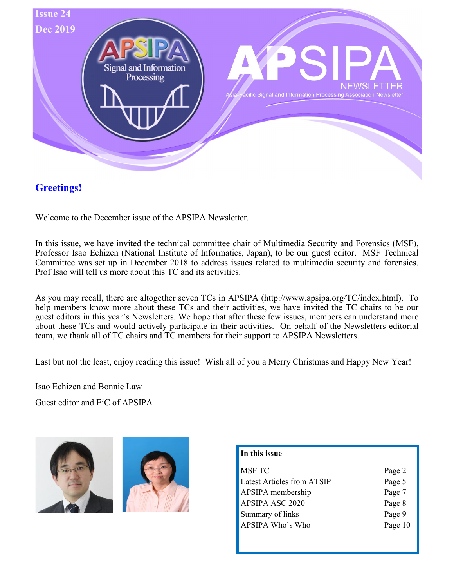

# Greetings!

Welcome to the December issue of the APSIPA Newsletter.

In this issue, we have invited the technical committee chair of Multimedia Security and Forensics (MSF), Professor Isao Echizen (National Institute of Informatics, Japan), to be our guest editor. MSF Technical Committee was set up in December 2018 to address issues related to multimedia security and forensics. Prof Isao will tell us more about this TC and its activities.

As you may recall, there are altogether seven TCs in APSIPA (http://www.apsipa.org/TC/index.html). To help members know more about these TCs and their activities, we have invited the TC chairs to be our guest editors in this year's Newsletters. We hope that after these few issues, members can understand more about these TCs and would actively participate in their activities. On behalf of the Newsletters editorial team, we thank all of TC chairs and TC members for their support to APSIPA Newsletters.

Last but not the least, enjoy reading this issue! Wish all of you a Merry Christmas and Happy New Year!

Isao Echizen and Bonnie Law

Guest editor and EiC of APSIPA





| Page 2  |
|---------|
| Page 5  |
| Page 7  |
| Page 8  |
| Page 9  |
| Page 10 |
|         |
|         |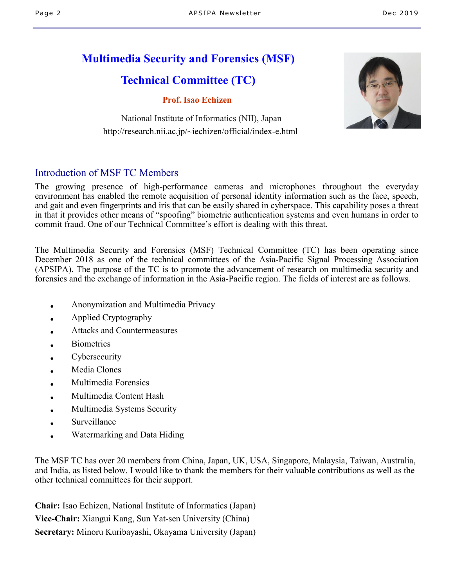# Multimedia Security and Forensics (MSF)

# Technical Committee (TC)

## Prof. Isao Echizen

National Institute of Informatics (NII), Japan http://research.nii.ac.jp/~iechizen/official/index-e.html



## Introduction of MSF TC Members

The growing presence of high-performance cameras and microphones throughout the everyday environment has enabled the remote acquisition of personal identity information such as the face, speech, and gait and even fingerprints and iris that can be easily shared in cyberspace. This capability poses a threat in that it provides other means of "spoofing" biometric authentication systems and even humans in order to commit fraud. One of our Technical Committee's effort is dealing with this threat.

The Multimedia Security and Forensics (MSF) Technical Committee (TC) has been operating since December 2018 as one of the technical committees of the Asia-Pacific Signal Processing Association (APSIPA). The purpose of the TC is to promote the advancement of research on multimedia security and forensics and the exchange of information in the Asia-Pacific region. The fields of interest are as follows.

- Anonymization and Multimedia Privacy
- Applied Cryptography
- Attacks and Countermeasures
- **Biometrics**
- Cybersecurity
- Media Clones
- **Multimedia Forensics**
- Multimedia Content Hash
- Multimedia Systems Security
- **Surveillance**
- Watermarking and Data Hiding

The MSF TC has over 20 members from China, Japan, UK, USA, Singapore, Malaysia, Taiwan, Australia, and India, as listed below. I would like to thank the members for their valuable contributions as well as the other technical committees for their support.

Chair: Isao Echizen, National Institute of Informatics (Japan) Vice-Chair: Xiangui Kang, Sun Yat-sen University (China) Secretary: Minoru Kuribayashi, Okayama University (Japan)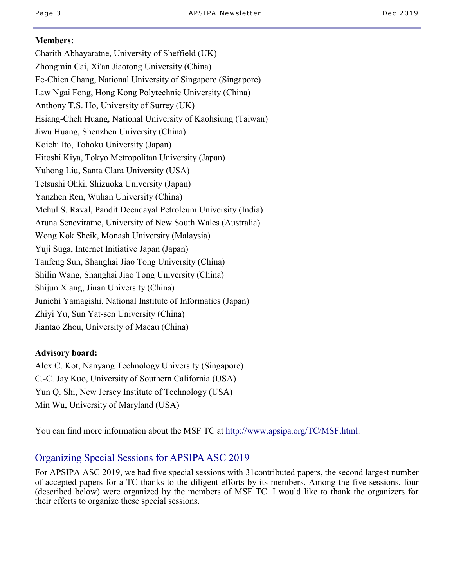### Members:

Charith Abhayaratne, University of Sheffield (UK) Zhongmin Cai, Xi'an Jiaotong University (China) Ee-Chien Chang, National University of Singapore (Singapore) Law Ngai Fong, Hong Kong Polytechnic University (China) Anthony T.S. Ho, University of Surrey (UK) Hsiang-Cheh Huang, National University of Kaohsiung (Taiwan) Jiwu Huang, Shenzhen University (China) Koichi Ito, Tohoku University (Japan) Hitoshi Kiya, Tokyo Metropolitan University (Japan) Yuhong Liu, Santa Clara University (USA) Tetsushi Ohki, Shizuoka University (Japan) Yanzhen Ren, Wuhan University (China) Mehul S. Raval, Pandit Deendayal Petroleum University (India) Aruna Seneviratne, University of New South Wales (Australia) Wong Kok Sheik, Monash University (Malaysia) Yuji Suga, Internet Initiative Japan (Japan) Tanfeng Sun, Shanghai Jiao Tong University (China) Shilin Wang, Shanghai Jiao Tong University (China) Shijun Xiang, Jinan University (China) Junichi Yamagishi, National Institute of Informatics (Japan) Zhiyi Yu, Sun Yat-sen University (China) Jiantao Zhou, University of Macau (China)

## Advisory board:

Alex C. Kot, Nanyang Technology University (Singapore) C.-C. Jay Kuo, University of Southern California (USA) Yun Q. Shi, New Jersey Institute of Technology (USA) Min Wu, University of Maryland (USA)

You can find more information about the MSF TC at http://www.apsipa.org/TC/MSF.html.

# Organizing Special Sessions for APSIPA ASC 2019

For APSIPA ASC 2019, we had five special sessions with 31contributed papers, the second largest number of accepted papers for a TC thanks to the diligent efforts by its members. Among the five sessions, four (described below) were organized by the members of MSF TC. I would like to thank the organizers for their efforts to organize these special sessions.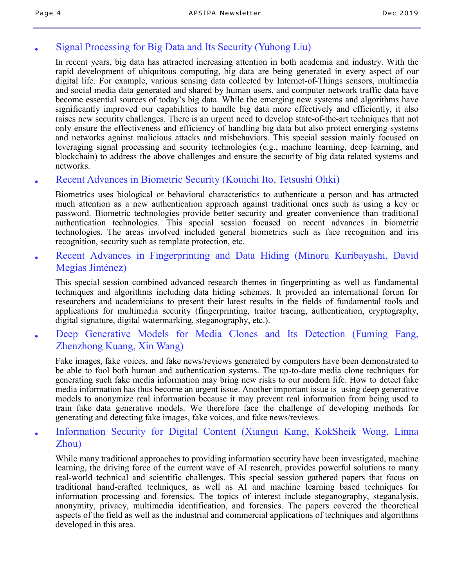# Signal Processing for Big Data and Its Security (Yuhong Liu)

In recent years, big data has attracted increasing attention in both academia and industry. With the rapid development of ubiquitous computing, big data are being generated in every aspect of our digital life. For example, various sensing data collected by Internet-of-Things sensors, multimedia and social media data generated and shared by human users, and computer network traffic data have become essential sources of today's big data. While the emerging new systems and algorithms have significantly improved our capabilities to handle big data more effectively and efficiently, it also raises new security challenges. There is an urgent need to develop state-of-the-art techniques that not only ensure the effectiveness and efficiency of handling big data but also protect emerging systems and networks against malicious attacks and misbehaviors. This special session mainly focused on leveraging signal processing and security technologies (e.g., machine learning, deep learning, and blockchain) to address the above challenges and ensure the security of big data related systems and networks.

## ● Recent Advances in Biometric Security (Kouichi Ito, Tetsushi Ohki)

Biometrics uses biological or behavioral characteristics to authenticate a person and has attracted much attention as a new authentication approach against traditional ones such as using a key or password. Biometric technologies provide better security and greater convenience than traditional authentication technologies. This special session focused on recent advances in biometric technologies. The areas involved included general biometrics such as face recognition and iris recognition, security such as template protection, etc.

Recent Advances in Fingerprinting and Data Hiding (Minoru Kuribayashi, David Megias Jiménez)

This special session combined advanced research themes in fingerprinting as well as fundamental techniques and algorithms including data hiding schemes. It provided an international forum for researchers and academicians to present their latest results in the fields of fundamental tools and applications for multimedia security (fingerprinting, traitor tracing, authentication, cryptography, digital signature, digital watermarking, steganography, etc.).

Deep Generative Models for Media Clones and Its Detection (Fuming Fang, Zhenzhong Kuang, Xin Wang)

Fake images, fake voices, and fake news/reviews generated by computers have been demonstrated to be able to fool both human and authentication systems. The up-to-date media clone techniques for generating such fake media information may bring new risks to our modern life. How to detect fake media information has thus become an urgent issue. Another important issue is using deep generative models to anonymize real information because it may prevent real information from being used to train fake data generative models. We therefore face the challenge of developing methods for generating and detecting fake images, fake voices, and fake news/reviews.

● Information Security for Digital Content (Xiangui Kang, KokSheik Wong, Linna Zhou)

While many traditional approaches to providing information security have been investigated, machine learning, the driving force of the current wave of AI research, provides powerful solutions to many real-world technical and scientific challenges. This special session gathered papers that focus on traditional hand-crafted techniques, as well as AI and machine learning based techniques for information processing and forensics. The topics of interest include steganography, steganalysis, anonymity, privacy, multimedia identification, and forensics. The papers covered the theoretical aspects of the field as well as the industrial and commercial applications of techniques and algorithms developed in this area.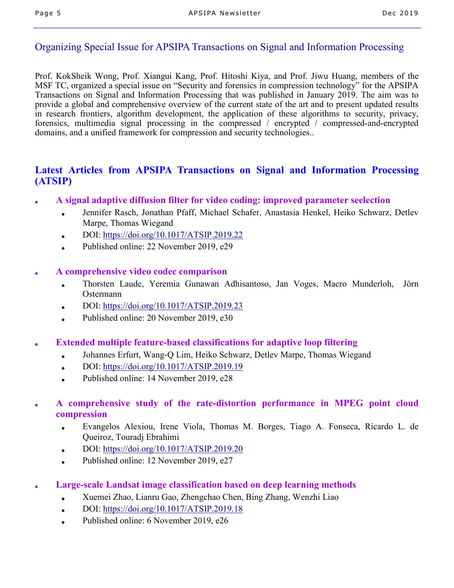# Organizing Special Issue for APSIPA Transactions on Signal and Information Processing

Prof. KokSheik Wong, Prof. Xiangui Kang, Prof. Hitoshi Kiya, and Prof. Jiwu Huang, members of the MSF TC, organized a special issue on "Security and forensics in compression technology" for the APSIPA Transactions on Signal and Information Processing that was published in January 2019. The aim was to provide a global and comprehensive overview of the current state of the art and to present updated results in research frontiers, algorithm development, the application of these algorithms to security, privacy, forensics, multimedia signal processing in the compressed / encrypted / compressed-and-encrypted domains, and a unified framework for compression and security technologies..

# Latest Articles from APSIPA Transactions on Signal and Information Processing (ATSIP)

- A signal adaptive diffusion filter for video coding: improved parameter seelection
	- Jennifer Rasch, Jonathan Pfaff, Michael Schafer, Anastasia Henkel, Heiko Schwarz, Detlev Marpe, Thomas Wiegand
	- DOI: https://doi.org/10.1017/ATSIP.2019.22
	- Published online:  $22$  November 2019, e29
- A comprehensive video codec comparison
	- Thorsten Laude, Yeremia Gunawan Adhisantoso, Jan Voges, Macro Munderloh, Jörn Ostermann
	- DOI: https://doi.org/10.1017/ATSIP.2019.23
	- Published online:  $20$  November 2019, e30
- **Extended multiple feature-based classifications for adaptive loop filtering** 
	- Johannes Erfurt, Wang-Q Lim, Heiko Schwarz, Detlev Marpe, Thomas Wiegand
	- DOI:  $\frac{https://doi.org/10.1017/ATSIP.2019.19}{https://doi.org/10.1017/ATSIP.2019.19}$
	- Published online: 14 November 2019, e28

## A comprehensive study of the rate-distortion performance in MPEG point cloud compression

- Evangelos Alexiou, Irene Viola, Thomas M. Borges, Tiago A. Fonseca, Ricardo L. de Queiroz, Touradj Ebrahimi
- DOI: https://doi.org/10.1017/ATSIP.2019.20
- Published online: 12 November 2019, e27
- Large-scale Landsat image classification based on deep learning methods
	- Xuemei Zhao, Lianru Gao, Zhengchao Chen, Bing Zhang, Wenzhi Liao
	- DOI: https://doi.org/10.1017/ATSIP.2019.18
	- Published online: 6 November 2019, e26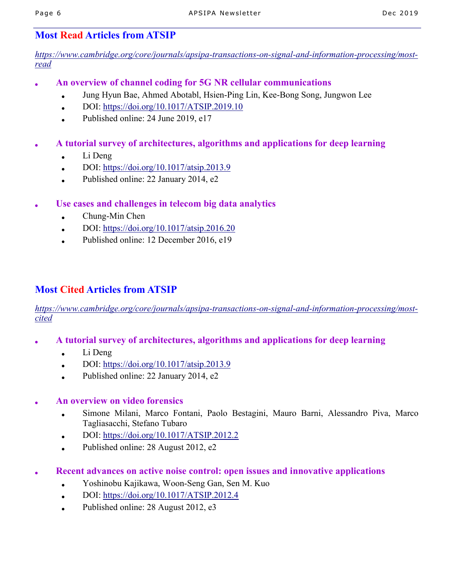# Most Read Articles from ATSIP

*https://www.cambridge.org/core/journals/apsipa-transactions-on-signal-and-information-processing/mostread*

- An overview of channel coding for 5G NR cellular communications
	- Jung Hyun Bae, Ahmed Abotabl, Hsien-Ping Lin, Kee-Bong Song, Jungwon Lee
	- DOI: https://doi.org/10.1017/ATSIP.2019.10
	- Published online: 24 June 2019, e17
- A tutorial survey of architectures, algorithms and applications for deep learning
	- $\bullet$  Li Deng
	- DOI:  $\frac{https://doi.org/10.1017/atsip.2013.9}{https://doi.org/10.1017/atsip.2013.9}$
	- Published online: 22 January 2014, e2
- Use cases and challenges in telecom big data analytics
	- $\bullet$  Chung-Min Chen
	- DOI: https://doi.org/10.1017/atsip.2016.20
	- Published online: 12 December 2016, e19

# Most Cited Articles from ATSIP

*https://www.cambridge.org/core/journals/apsipa-transactions-on-signal-and-information-processing/mostcited*

- A tutorial survey of architectures, algorithms and applications for deep learning
	- $\bullet$  Li Deng
	- DOI: https://doi.org/10.1017/atsip.2013.9
	- Published online:  $22$  January  $2014$ , e2
- An overview on video forensics
	- Simone Milani, Marco Fontani, Paolo Bestagini, Mauro Barni, Alessandro Piva, Marco Tagliasacchi, Stefano Tubaro
	- DOI: https://doi.org/10.1017/ATSIP.2012.2
	- Published online: 28 August 2012, e2
- Recent advances on active noise control: open issues and innovative applications
	- Yoshinobu Kajikawa, Woon-Seng Gan, Sen M. Kuo
	- $\bullet$  DOI: https://doi.org/10.1017/ATSIP.2012.4
	- Published online:  $28$  August  $2012$ , e3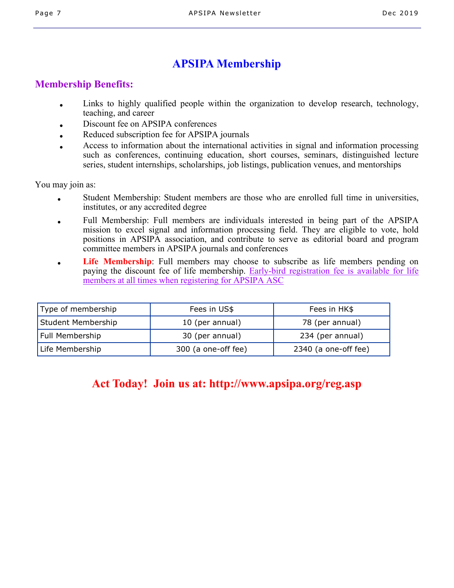# APSIPA Membership

# Membership Benefits:

- Links to highly qualified people within the organization to develop research, technology, teaching, and career
- Discount fee on APSIPA conferences
- Reduced subscription fee for APSIPA journals
- Access to information about the international activities in signal and information processing such as conferences, continuing education, short courses, seminars, distinguished lecture series, student internships, scholarships, job listings, publication venues, and mentorships

You may join as:

- Student Membership: Student members are those who are enrolled full time in universities, institutes, or any accredited degree
- Full Membership: Full members are individuals interested in being part of the APSIPA mission to excel signal and information processing field. They are eligible to vote, hold positions in APSIPA association, and contribute to serve as editorial board and program committee members in APSIPA journals and conferences
- Life Membership: Full members may choose to subscribe as life members pending on paying the discount fee of life membership. Early-bird registration fee is available for life members at all times when registering for APSIPA ASC

| Type of membership | Fees in US\$        | Fees in HK\$         |
|--------------------|---------------------|----------------------|
| Student Membership | 10 (per annual)     | 78 (per annual)      |
| Full Membership    | 30 (per annual)     | 234 (per annual)     |
| Life Membership    | 300 (a one-off fee) | 2340 (a one-off fee) |

# Act Today! Join us at: http://www.apsipa.org/reg.asp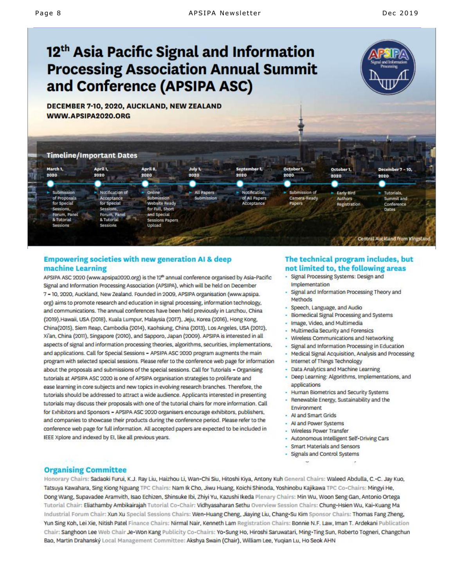# 12<sup>th</sup> Asia Pacific Signal and Information **Processing Association Annual Summit** and Conference (APSIPA ASC)

DECEMBER 7-10, 2020, AUCKLAND, NEW ZEALAND WWW.APSIPA2020.ORG



#### **Empowering societies with new generation AI & deep** machine Learning

APSIPA ASC 2020 (www.apsipa2020.org) is the 12<sup>th</sup> annual conference organised by Asia-Pacific Signal and Information Processing Association (APSIPA), which will be held on December 7 - 10, 2020, Auckland, New Zealand. Founded in 2009, APSIPA organisation (www.apsipa. org) aims to promote research and education in signal processing, information technology, and communications. The annual conferences have been held previously in Lanzhou, China (2019), Hawaii, USA (2018), Kuala Lumpur, Malaysia (2017), Jeju, Korea (2016), Hong Kong, China(2015), Siem Reap, Cambodia (2014), Kaohsiung, China (2013), Los Angeles, USA (2012), Xi'an, China (2011), Singapore (2010), and Sapporo, Japan (2009). APSIPA is interested in all aspects of signal and information processing theories, algorithms, securities, implementations, and applications. Call for Special Sessions - APSIPA ASC 2020 program augments the main program with selected special sessions. Please refer to the conference web page for information about the proposals and submissions of the special sessions. Call for Tutorials - Organising tutorials at APSIPA ASC 2020 is one of APSIPA organisation strategies to proliferate and ease learning in core subjects and new topics in evolving research branches. Therefore, the tutorials should be addressed to attract a wide audience. Applicants interested in presenting tutorials may discuss their proposals with one of the tutorial chairs for more information. Call for Exhibitors and Sponsors - APSIPA ASC 2020 organisers encourage exhibitors, publishers, and companies to showcase their products during the conference period. Please refer to the conference web page for full information. All accepted papers are expected to be included in IEEE Xplore and indexed by EI, like all previous years.

#### The technical program includes, but not limited to, the following areas

- Signal Processing Systems: Design and Implementation
- Signal and Information Processing Theory and Methods
- Speech, Language, and Audio
- Biomedical Signal Processing and Systems
- Image, Video, and Multimedia
- Multimedia Security and Forensics
- Wireless Communications and Networking
- Signal and Information Processing in Education
- Medical Signal Acquisition, Analysis and Processing
- Internet of Things Technology
- · Data Analytics and Machine Learning
- Deep Learning: Algorithms, Implementations, and applications
	- Human Biometrics and Security Systems
	- Renewable Energy, Sustainability and the Environment
- Al and Smart Grids
- Al and Power Systems
- Wireless Power Transfer
- Autonomous Intelligent Self-Driving Cars
- · Smart Materials and Sensors
- Signals and Control Systems
	-

#### **Organising Committee**

Honorary Chairs: Sadaoki Furui, K.J. Ray Liu, Haizhou Li, Wan-Chi Siu, Hitoshi Kiya, Antony Kuh General Chairs: Waleed Abdulla, C.-C. Jay Kuo, Tatsuya Kawahara, Sing Kiong Nguang TPC Chairs: Nam Ik Cho, Jiwu Huang, Koichi Shinoda, Yoshinobu Kajikawa TPC Co-Chairs: Mingyi He, Dong Wang, Supavadee Aramvith, Isao Echizen, Shinsuke Ibi, Zhivi Yu, Kazushi Ikeda Plenary Chairs: Min Wu, Woon Seng Gan, Antonio Ortega Tutorial Chair: Eliathamby Ambikairajah Tutorial Co-Chair: Vidhyasaharan Sethu Overview Session Chairs: Chung-Hsien Wu, Kai-Kuang Ma Industrial Forum Chair: Xun Xu Special Sessions Chairs: Wen-Huang Cheng, Jiaying Liu, Chang-Su Kim Sponsor Chairs: Thomas Fang Zheng, Yun Sing Koh, Lei Xie, Nitish Patel Finance Chairs: Nirmal Nair, Kenneth Lam Registration Chairs: Bonnie N.F. Law, Iman T. Ardekani Publication Chair: Sanghoon Lee Web Chair Je-Won Kang Publicity Co-Chairs: Yo-Sung Ho, Hiroshi Saruwatari, Ming-Ting Sun, Roberto Togneri, Changchun Bao, Martin Drahanský Local Management Committee: Akshya Swain (Chair), William Lee, Yuqian Lu, Ho Seok AHN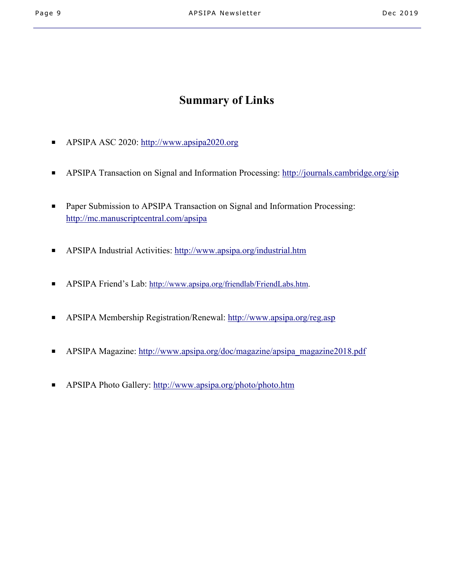# Summary of Links

- APSIPA ASC 2020: http://www.apsipa2020.org
- APSIPA Transaction on Signal and Information Processing: http://journals.cambridge.org/sip
- Paper Submission to APSIPA Transaction on Signal and Information Processing: http://mc.manuscriptcentral.com/apsipa
- APSIPA Industrial Activities: http://www.apsipa.org/industrial.htm
- APSIPA Friend's Lab: http://www.apsipa.org/friendlab/FriendLabs.htm.
- APSIPA Membership Registration/Renewal: http://www.apsipa.org/reg.asp
- APSIPA Magazine: http://www.apsipa.org/doc/magazine/apsipa\_magazine2018.pdf
- APSIPA Photo Gallery: http://www.apsipa.org/photo/photo.htm